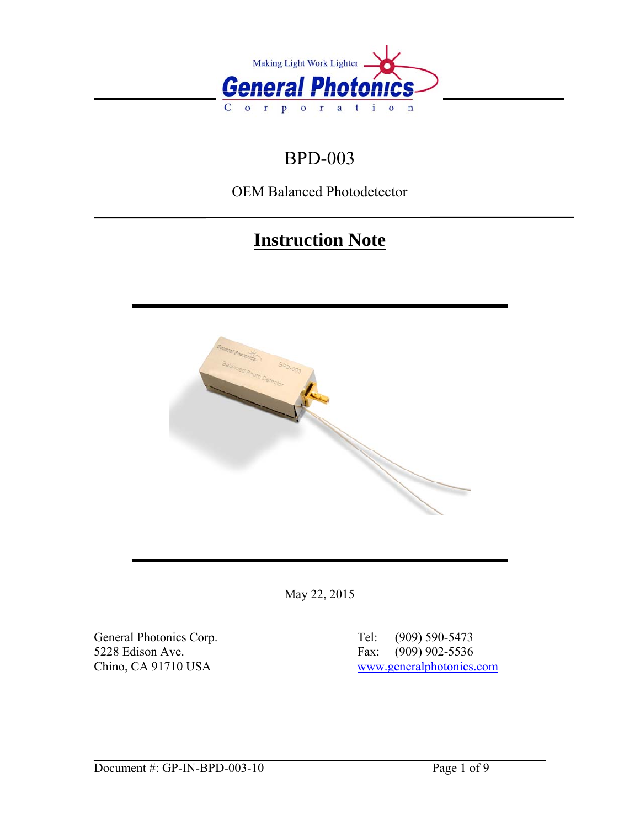

# BPD-003

OEM Balanced Photodetector

# **Instruction Note**



May 22, 2015

General Photonics Corp.<br>
5228 Edison Ave.<br>
5228 Edison Ave.<br>
6228 Edison Ave.<br>
6228 Edison Ave.<br>
6228 Edison Ave.<br>
6228 Edison Ave.<br>
6228 Edison Ave. 5228 Edison Ave. Fax: (90) 902-5228 Fax: (90)

Chino, CA 91710 USA [www.generalphotonics.com](http://www.generalphotonics.com/)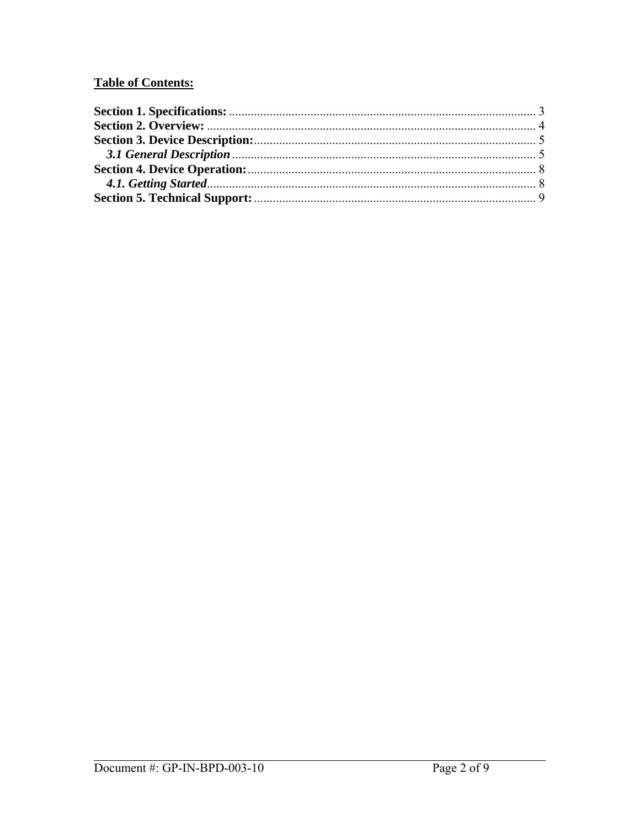## **Table of Contents:**

| 3.1 General Description <i>manufacture contained as Contained as S</i> |  |
|------------------------------------------------------------------------|--|
|                                                                        |  |
|                                                                        |  |
|                                                                        |  |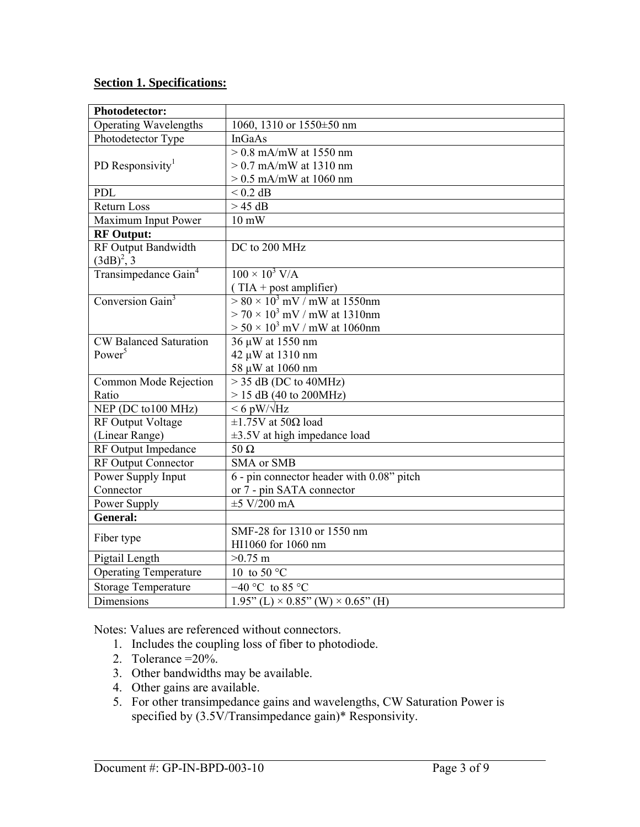## <span id="page-2-0"></span>**Section 1. Specifications:**

| <b>Photodetector:</b>            |                                                   |
|----------------------------------|---------------------------------------------------|
| <b>Operating Wavelengths</b>     | 1060, 1310 or 1550±50 nm                          |
| Photodetector Type               | <b>InGaAs</b>                                     |
|                                  | $\sqrt{>0.8}$ mA/mW at 1550 nm                    |
| PD Responsivity <sup>1</sup>     | $> 0.7$ mA/mW at 1310 nm                          |
|                                  | $> 0.5$ mA/mW at 1060 nm                          |
| PDL                              | $< 0.2$ dB                                        |
| Return Loss                      | $> 45$ dB                                         |
| Maximum Input Power              | $10 \text{ mW}$                                   |
| <b>RF</b> Output:                |                                                   |
| RF Output Bandwidth              | DC to 200 MHz                                     |
| $(3dB)^{2}$ , 3                  |                                                   |
| Transimpedance Gain <sup>4</sup> | $100 \times 10^3$ V/A                             |
|                                  | $(TIA + post amplifier)$                          |
| Conversion Gain <sup>3</sup>     | $> 80 \times 10^3$ mV / mW at 1550nm              |
|                                  | $>$ 70 $\times$ 10 <sup>3</sup> mV / mW at 1310nm |
|                                  | $> 50 \times 10^3$ mV / mW at 1060nm              |
| <b>CW Balanced Saturation</b>    | 36 µW at 1550 nm                                  |
| Power <sup>5</sup>               | 42 µW at 1310 nm                                  |
|                                  | 58 µW at 1060 nm                                  |
| Common Mode Rejection            | $>$ 35 dB (DC to 40MHz)                           |
| Ratio                            | $> 15$ dB (40 to 200MHz)                          |
| NEP (DC to100 MHz)               | $< 6$ pW/ $\sqrt{\text{Hz}}$                      |
| <b>RF Output Voltage</b>         | $\pm 1.75V$ at 50 $\Omega$ load                   |
| (Linear Range)                   | $\pm$ 3.5V at high impedance load                 |
| RF Output Impedance              | $50 \Omega$                                       |
| RF Output Connector              | <b>SMA</b> or SMB                                 |
| Power Supply Input               | 6 - pin connector header with 0.08" pitch         |
| Connector                        | or 7 - pin SATA connector                         |
| Power Supply                     | $\pm 5$ V/200 mA                                  |
| <b>General:</b>                  |                                                   |
| Fiber type                       | SMF-28 for 1310 or 1550 nm                        |
|                                  | HI1060 for 1060 nm                                |
| Pigtail Length                   | $>0.75$ m                                         |
| <b>Operating Temperature</b>     | 10 to 50 $^{\circ}$ C                             |
| <b>Storage Temperature</b>       | $-40$ °C to 85 °C                                 |
| Dimensions                       | $1.95$ " (L) × 0.85" (W) × 0.65" (H)              |

Notes: Values are referenced without connectors.

- 1. Includes the coupling loss of fiber to photodiode.
- 2. Tolerance =20%.
- 3. Other bandwidths may be available.
- 4. Other gains are available.
- 5. For other transimpedance gains and wavelengths, CW Saturation Power is specified by  $(3.5V/Transimpedance gain)*$  Responsivity.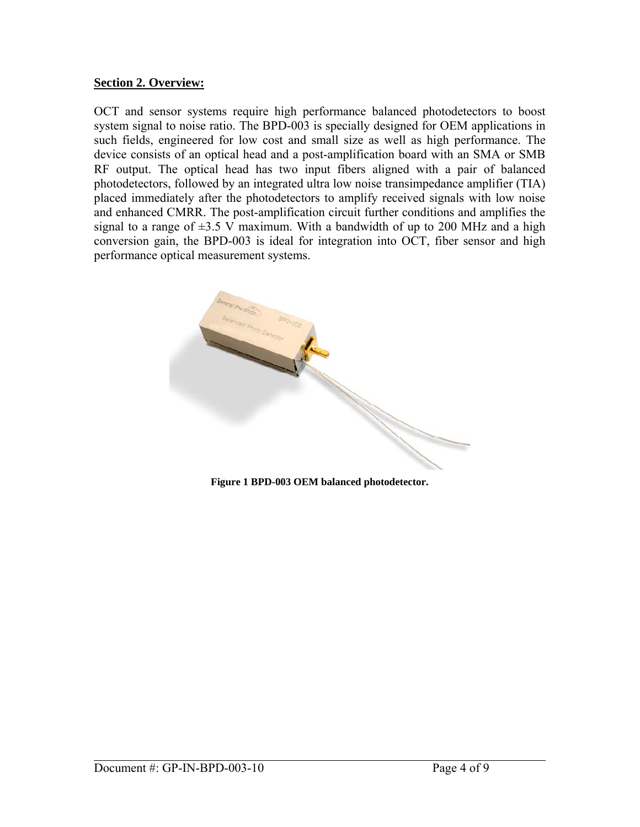## <span id="page-3-0"></span>**Section 2. Overview:**

OCT and sensor systems require high performance balanced photodetectors to boost system signal to noise ratio. The BPD-003 is specially designed for OEM applications in such fields, engineered for low cost and small size as well as high performance. The device consists of an optical head and a post-amplification board with an SMA or SMB RF output. The optical head has two input fibers aligned with a pair of balanced photodetectors, followed by an integrated ultra low noise transimpedance amplifier (TIA) placed immediately after the photodetectors to amplify received signals with low noise and enhanced CMRR. The post-amplification circuit further conditions and amplifies the signal to a range of  $\pm 3.5$  V maximum. With a bandwidth of up to 200 MHz and a high conversion gain, the BPD-003 is ideal for integration into OCT, fiber sensor and high performance optical measurement systems.



**Figure 1 BPD-003 OEM balanced photodetector.**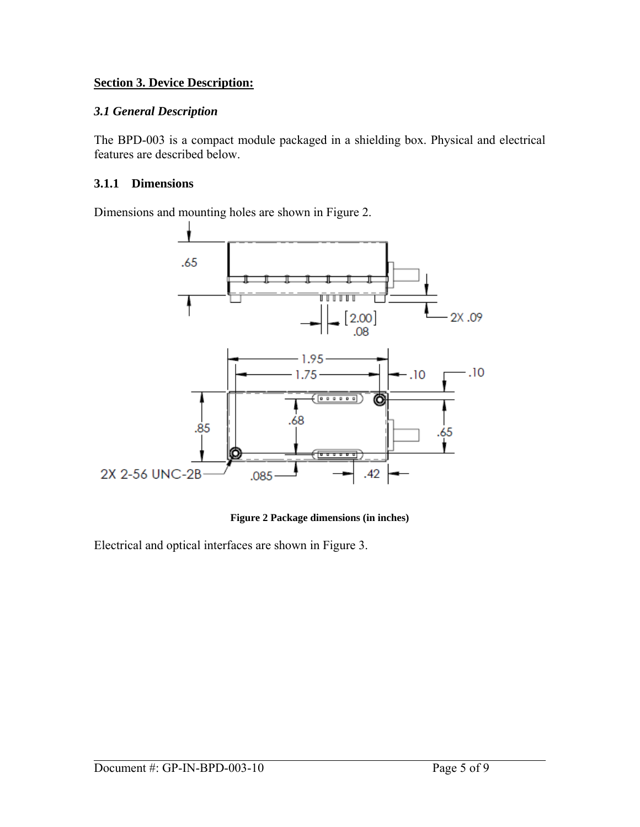## <span id="page-4-0"></span>**Section 3. Device Description:**

## *3.1 General Description*

The BPD-003 is a compact module packaged in a shielding box. Physical and electrical features are described below.

## **3.1.1 Dimensions**

Dimensions and mounting holes are shown in [Figure 2.](#page-4-1)



**Figure 2 Package dimensions (in inches)** 

<span id="page-4-1"></span>Electrical and optical interfaces are shown in [Figure 3](#page-5-0).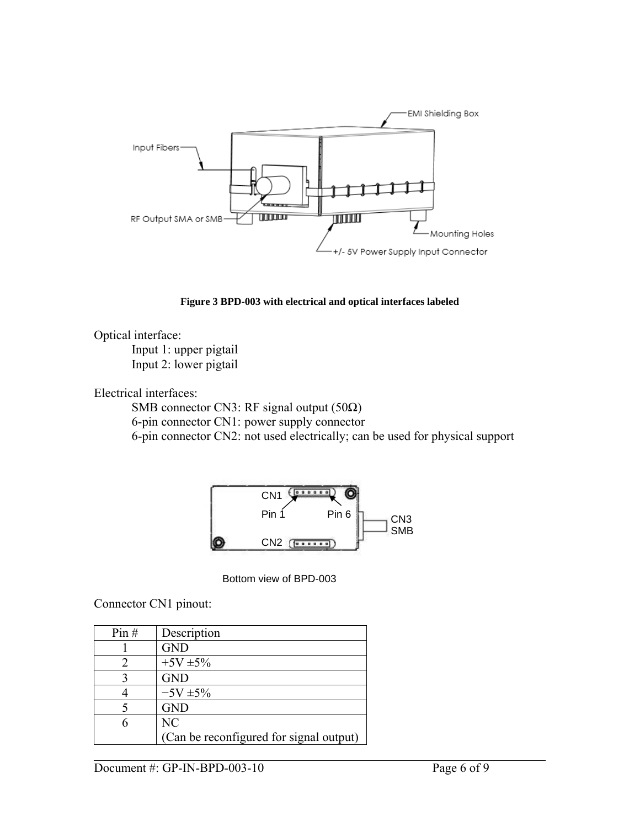

**Figure 3 BPD-003 with electrical and optical interfaces labeled** 

<span id="page-5-0"></span>Optical interface:

Input 1: upper pigtail Input 2: lower pigtail

Electrical interfaces:

 SMB connector CN3: RF signal output (50Ω) 6-pin connector CN1: power supply connector 6-pin connector CN2: not used electrically; can be used for physical support



Bottom view of BPD-003

Connector CN1 pinout:

| Pin# | Description                             |
|------|-----------------------------------------|
|      | <b>GND</b>                              |
|      | $+5V \pm 5\%$                           |
| 3    | <b>GND</b>                              |
|      | $-5V \pm 5\%$                           |
|      | <b>GND</b>                              |
| 6    | N <sub>C</sub>                          |
|      | (Can be reconfigured for signal output) |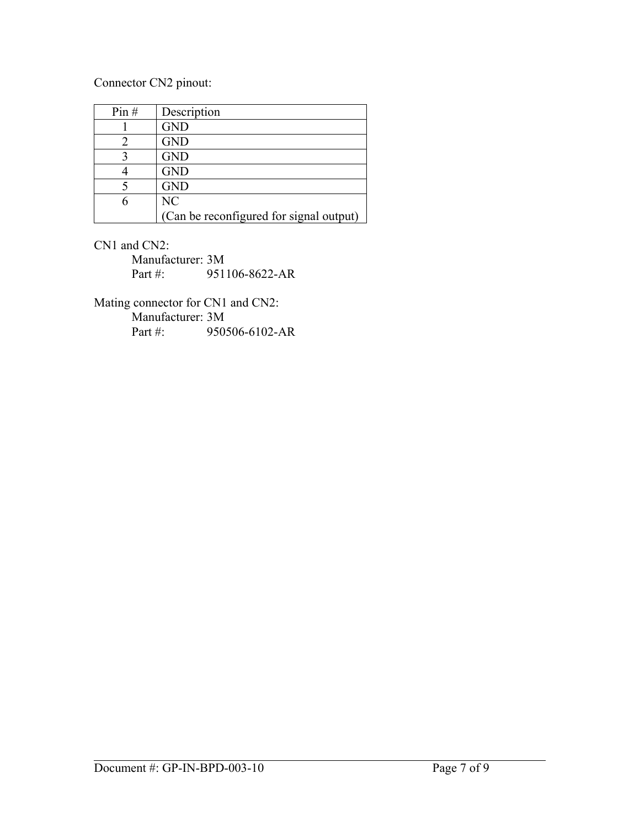## Connector CN2 pinout:

| Pin# | Description                             |
|------|-----------------------------------------|
|      | <b>GND</b>                              |
|      | <b>GND</b>                              |
|      | <b>GND</b>                              |
|      | <b>GND</b>                              |
|      | <b>GND</b>                              |
|      | NC                                      |
|      | (Can be reconfigured for signal output) |

CN1 and CN2:

Manufacturer: 3M Part #: 951106-8622-AR

Mating connector for CN1 and CN2: Manufacturer: 3M Part #: 950506-6102-AR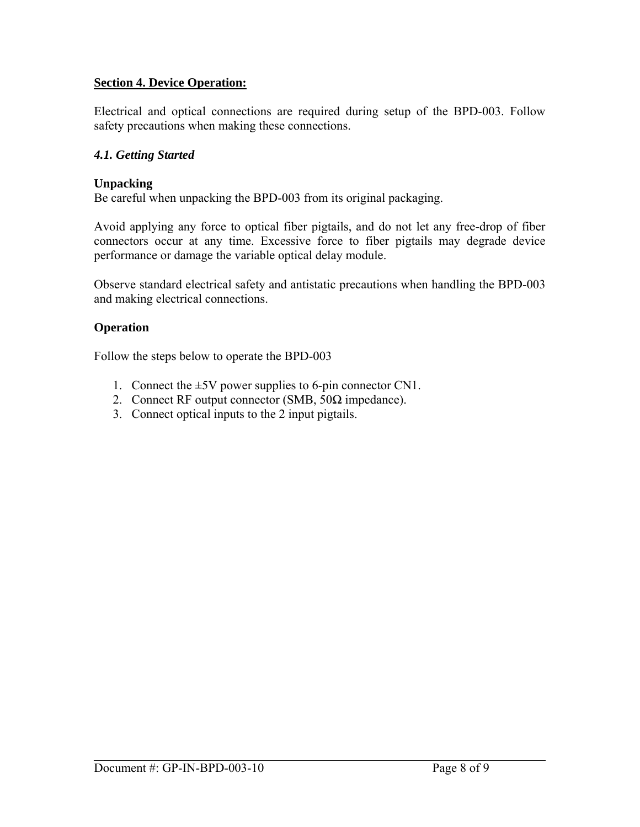## <span id="page-7-0"></span>**Section 4. Device Operation:**

Electrical and optical connections are required during setup of the BPD-003. Follow safety precautions when making these connections.

#### *4.1. Getting Started*

#### **Unpacking**

Be careful when unpacking the BPD-003 from its original packaging.

Avoid applying any force to optical fiber pigtails, and do not let any free-drop of fiber connectors occur at any time. Excessive force to fiber pigtails may degrade device performance or damage the variable optical delay module.

Observe standard electrical safety and antistatic precautions when handling the BPD-003 and making electrical connections.

#### **Operation**

Follow the steps below to operate the BPD-003

- 1. Connect the  $\pm$ 5V power supplies to 6-pin connector CN1.
- 2. Connect RF output connector (SMB,  $50\Omega$  impedance).
- 3. Connect optical inputs to the 2 input pigtails.